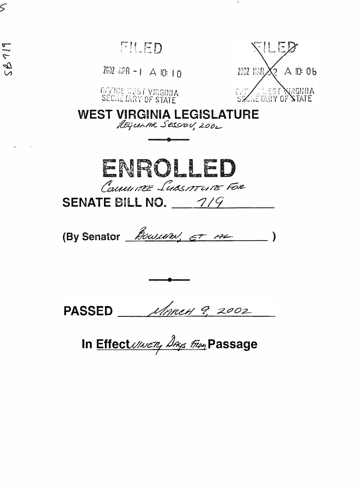FILED

ς

 $58719$ 

 $2802$  APR -  $1 \text{ A}$  10: 10



OFFICE WEST VIRGINIA<br>SECRETARY OF STATE

**WEST VIRGINIA LEGISLATURE** 

REGULAR SESSION, 2002



**SENATE BILL NO. 47/9** 

(By Senator *Bowum,*  $\epsilon$  *+ m* = 1)

PASSED MARCH 9, 2002

In Effect Uncty Days Fing Passage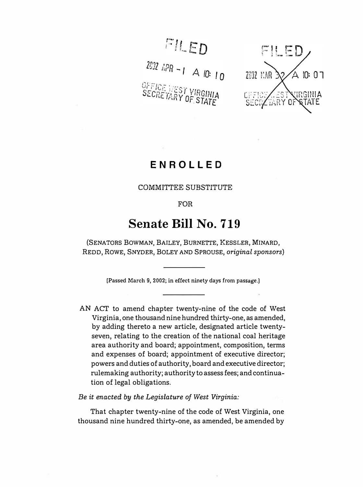FILED

2002 APR - 1 A 10: 10 OFFICE WEST VIRGINIA<br>SECRETARY OF STATE



## **ENROLLED**

### COMMITTEE SUBSTITUTE

FOR

# **Senate Bill No. 719**

(SENATORS BOWMAN, BAILEY, BURNETTE, KESSLER, MINARD, REDD, ROWE, SNYDER, BOLEY AND SPROUSE, *original sponsors)* 

**[Passed March 9, 2002; in effect ninety days from passage.)** 

AN ACT to amend chapter twenty-nine of the code of West Virginia, one thousand nine hundred thirty-one, as amended, by adding thereto a new article, designated article twentyseven, relating to the creation of the national coal heritage area authority and board; appointment, composition, terms and expenses of board; appointment of executive director; powers and duties of authority, board and executive director; rulemaking authority; authority to assess fees; and continuation of legal obligations.

*Be it enacted by the Legislature of West Virginia:* 

That chapter twenty-nine of the code of West Virginia, one thousand nine hundred thirty-one, as amended, be amended by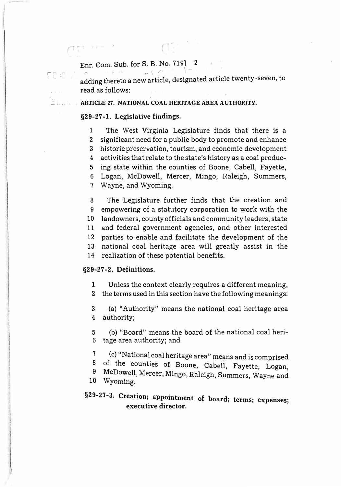### Enr. Com. Sub. for S. B. No. 719] 2

adding thereto a new article, designated article twenty-seven, to read as follows:

### **ARTICLE 27. NATIONAL COAL HERITAGE AREA AUTHORITY.**

### **§29-27-1. Legislative findings.**

 $r \sim$ I •

> 1 The West Virginia Legislature finds that there is a 2 significant need for a public body to promote and enhance 3 historic preservation, tourism, and economic development 4 activities that relate to the state's history as a coal produc-5 ing state within the counties of Boone, Cabell, Fayette, 6 Logan, McDowell, Mercer, Mingo, Raleigh, Summers, 7 Wayne, and Wyoming.

> 8 The Legislature further finds that the creation and 9 empowering of a statutory corporation to work with the 10 landowners, county officials and community leaders, state 11 and federal government agencies, and other interested 12 parties to enable and facilitate the development of the 13 national coal heritage area will greatly assist in the 14 realization of these potential benefits.

#### **§29-27-2. Definitions.**

I

1 Unless the context clearly requires a different meaning,

2 the terms used in this section have the following meanings:

3 (a) "Authority" means the national coal heritage area 4 authority;

5 (b) "Board" means the board of the national coal heri-6 tage area authority; and

- 7 (c) "National coal heritage area" means and is comprised<br>8 of the counties of Boone, Cabell, Faulth June
- 8 of the counties of Boone, Cabell, Fayette, Logan,
- 9 McDowell, Mercer, Mingo, Raleigh, Summers, Wayne and 10 Wyoming.

### §29-27-3. Creation; appointment of board; terms; expenses; **executive director.**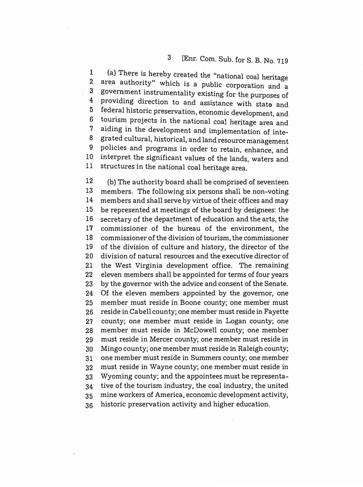### 3 [Enr. Com. Sub. for S. B. No. 719

**1**   $2<sup>2</sup>$ **3 4 5 6 7 8 9**  10 11 (a) There is hereby created the "national coal heritage government instrumentality existing for the purposes of providing direction to and assistance with state and federal historic preservation, economic development, and tourism projects in the national coal heritage area and aiding in the development and implementation of integrated cultural, historical, and land resource management policies and programs in order to retain, enhance, and interpret the significant values of the lands, waters and structures in the national coal heritage area.

12 13 14 15 16 17 18 19 20 21 22 23 24 25 26 27 28 29 30 31 32 33 **34**  35 36 (b) The authority board shall be comprised of seventeen members. The following six persons shall be non-voting members and shall serve by virtue of their offices and may be represented at meetings of the board by designees: the secretary of the department of education and the arts, the commissioner of the bureau of the environment, the commissioner of the division of tourism, the commissioner of the division of culture and history, the director of the division of natural resources and the executive director of the West Virginia development office. The remaining eleven members shall be appointed for terms of four years by the governor with the advice and consent of the Senate. Of the eleven members appointed by the governor, one member must reside in Boone county; one member must reside in Cabell county; one member must reside in Fayette county; one member must reside in Logan county; one member must reside in McDowell county; one member must reside in Mercer county; one member must reside in Mingo county; one member must reside in Raleigh county; one member must reside in Summers county; one member must reside in Wayne county; one member must reside in Wyoming county; and the appointees must be representative of the tourism industry, the coal industry, the united mine workers of America, economic development activity, historic preservation activity and higher education.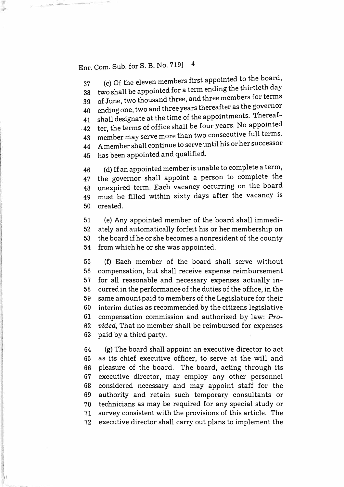## Enr. Com. Sub. for S. B. No. 719] 4

37 (c) Of the eleven members first appointed to the board, 37 (c) Of the eleven members inst appointed to the 2008. 39 of June, two thousand three, and three members for terms 40 . ending one, two and three years thereafter as the governor 41 shall designate at the time of the appointments. Thereaf-41 shall designate at the time of the appointments. There is 42 ter, the terms of office shall be four years. No appointed 43 member may serve more than two consecutive full terms. 44 A member shall continue to serve until his or her successor 45 has been appointed and qualified.

46 (d) If an appointed member is unable to complete a term, 47 the governor shall appoint a person to complete the 48 unexpired term. Each vacancy occurring on the board 49 must be filled within sixty days after the vacancy is 50 created.

51 (e) Any appointed member of the board shall immedi-52 ately and automatically forfeit his or her membership on 53 the board if he or she becomes a nonresident of the county 54 from which he or she was appointed.

55 (f) Each member of the board shall serve without 56 compensation, but shall receive expense reimbursement 57 for all reasonable and necessary expenses actually in-58 curred in the performance of the duties of the office, in the 59 same amount paid to members of the Legislature for their 60 interim duties as recommended by the citizens legislative 61 compensation commission and authorized by law: *Pro-*62 *vided,* That no member shall be reimbursed for expenses 63 paid by a third party.

64 (g) The board shall appoint an executive director to act 65 as its chief executive officer, to serve at the will and 66 pleasure of the board. The board, acting through its 67 executive director, may employ any other personnel 68 considered necessary and may appoint staff for the 69 authority and retain such temporary consultants or 70 technicians as may be required for any special study or 71 survey consistent with the provisions of this article. The 72 executive director shall carry out plans to implement the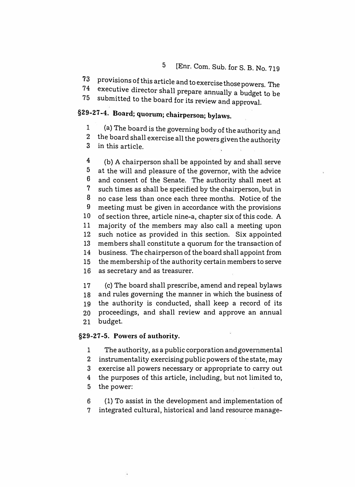### 5 [Enr. Com. Sub. for S. B. No. 719

**73** provisions of this article and to exercise those powers. The executive director shall prepare annually a budget to be \_

75 submitted to the board for its review and approval.

## **§29-27-4. Board; quorum; chairperson; bylaws.**

1 (a) The board is the governing body of the authority and

2 the board shall exercise all the powers given the authority

3 in this article.

4 5 6 7 8 9 **10 11 12 13 14 15 16**  (b) A chairperson shall be appointed by and shall serve at the will and pleasure of the governor, with the advice and consent of the Senate. The authority shall meet at such times as shall be specified by the chairperson, but in no case less than once each three months. Notice of the meeting must be given in accordance with the provisions of section three, article nine-a, chapter six of this code. A majority of the members may also call a meeting upon such notice as provided in this section. Six appointed members shall constitute a quorum for the transaction of business. The chairperson of the board shall appoint from the membership of the authority certain members to serve as secretary and as treasurer.

**17 18 19 20 21**  (c) The board shall prescribe, amend and repeal bylaws and rules governing the manner in which the business of the authority is conducted, shall keep a record of its proceedings, and shall review and approve an annual budget.

### **§29-27-5. Powers of authority.**

1 The authority, as a public corporation and governmental

2 instrumentality exercising public powers of the state, may

3 exercise all powers necessary or appropriate to carry out

4 the purposes of this article, including, but not limited to,

5 the power:

6 (1) To assist in the development and implementation of 7 integrated cultural, historical and land resource manage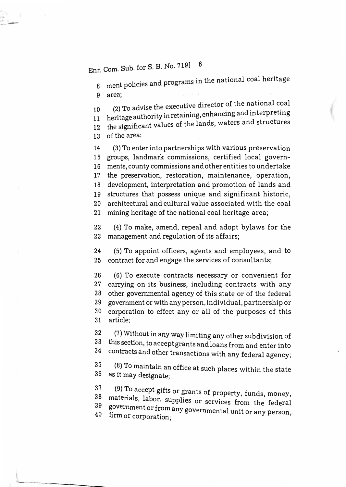Enr. Com. Sub. for S. B. No. 719) <sup>6</sup>

8  $\,$  ment policies and programs in the national coal heritage 9 area;

10 (2) To advise the executive director of the n ational coal<br>... 10 (2) To advise the executive different conditions (2) To advise the executive differences in and interpreting 12 the significant values of the lands, waters and structures 13 of the area;

14 (3) To enter into partnerships with various preservation 15 groups, landmark commissions, certified local govern-16 ments, county commissions and other entities to undertake 17 the preservation, restoration, maintenance, operation, 18 development, interpretation and promotion of lands and 19 structures that possess unique and significant historic, 20 architectural and cultural value associated with the coal 21 mining heritage of the national coal heritage area;

22 (4) To make, amend, repeal and adopt bylaws for the 23 management and regulation of its affairs;

24 (5) To appoint officers, agents and employees, and to 25 contract for and engage the services of consultants;

26 (6) To execute contracts necessary or convenient for 27 carrying on its business, including contracts with any 28 other governmental agency of this state or of the federal 29 government or with any person, individual, partnership or 3o corporation to effect any or all of the purposes of this 31 article;

 $\frac{32}{33}$ 7) Wi: hout in any way limiting any other subdivision of 33 this section, to accept grants and loans from and enter into<br>34 contracts and other transactions and  $\frac{1}{2}$ 34 contracts and other transactions with any federal agency;

 $35$  (8) To maintain an office at such places within the state 36 . as it may designate;

<sup>37</sup> (9) To accept gifts or grants of property, funds, money,<br><sup>38</sup> materials, Jabor, sunplies or semises f 39 materials, labor, supplies or services from the federal 40 firm or corporation;<br>40 firm or corporation; firm or corporation;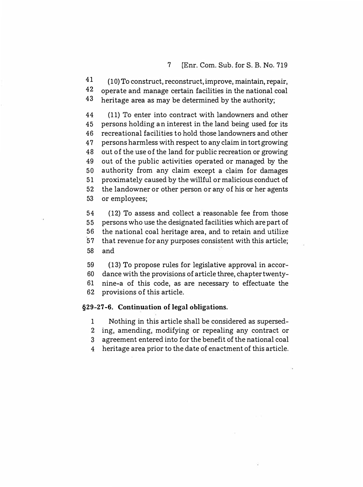41 42 43 (10) To construct, reconstruct, improve, maintain, repair, operate and manage certain facilities in the national coal heritage area as may be determined by the authority;

44 (11) To enter into contract with landowners and other 45 persons holding an interest in the land being used for its 46 recreational facilities to hold those landowners and other 47 persons harmless with respect to any claim in tort growing 48 out of the use of the land for public recreation or growing 49 out of the public activities operated or managed by the 50 authority from any claim except a claim for damages 51 proximately caused by the willful or malicious conduct of 52 the landowner or other person or any of his or her agents 53 or employees;

54 (12) To assess and collect a reasonable fee from those 55 persons who use the designated facilities which are part of 56 the national coal heritage area, and to retain and utilize 57 that revenue for any purposes consistent with this article; 58 and

59 (13) To propose rules for legislative approval in accor-60 dance with the provisions of article three, chapter twenty-61 nine-a of this code, as are necessary to effectuate the

62 provisions of this article.

#### **§29-27-6. Continuation of legal obligations.**

- 1 Nothing in this article shall be considered as supersed-
- 2 ing, amending, modifying or repealing any contract or
- 3 agreement entered into for the benefit of the national coal
- 4 heritage area prior to the date of enactment of this article.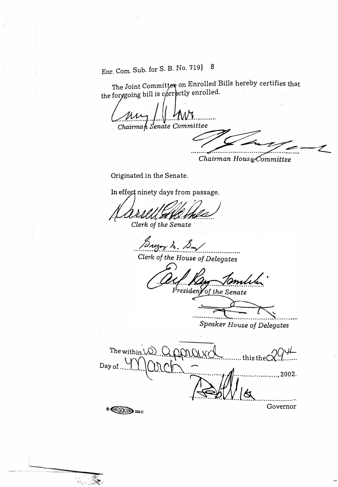Enr. Com. Sub. for S. B. No. 719] 8

The Joint Committee on Enrolled Bills hereby certifies that the forggoing bill is correctly enrolled.

لأنادب Chairman Senate Committee

Chairman House Committee

Originated in the Senate.

In effect ninety days from passage.

1. ZA.WX Clerk of the Senate

regay to 1

Clerk of the House of Delegates

President of the Senate

Speaker House of Delegates

The within  $\setminus \bigcirc$   $\bigcirc$  $:........$  this the  $\bigcirc$ Day of ..... ..........., 2002. . . . . . . Governor